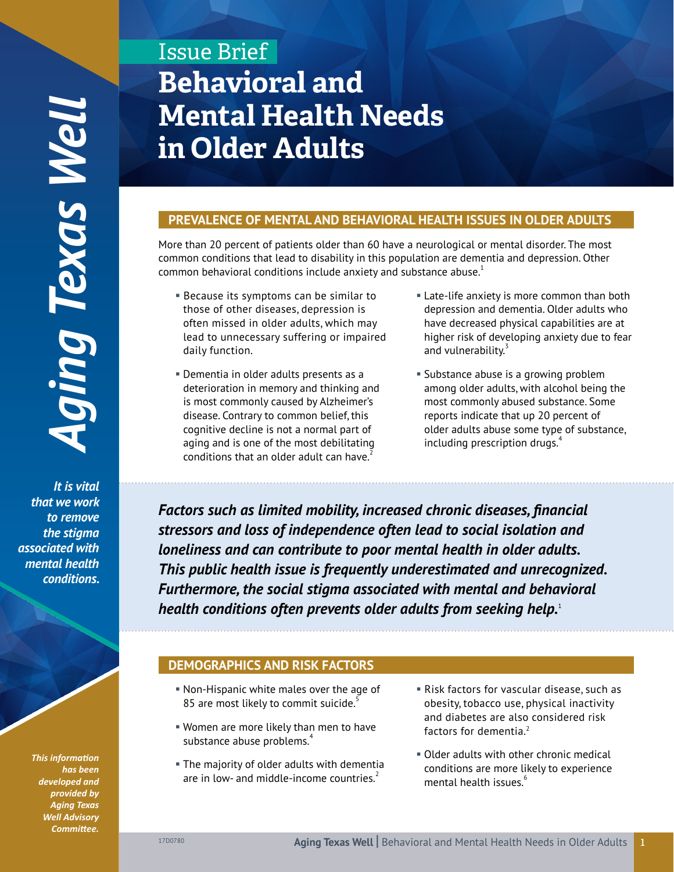*It is vital that we work to remove the stigma associated with mental health*  conditions.

> *This information has been developed and provided by Aging Texas Well Advisory Committee.*

# Issue Brief **Behavioral and Mental Health Needs in Older Adults**

## **PREVALENCE OF MENTAL AND BEHAVIORAL HEALTH ISSUES IN OLDER ADULTS**

More than 20 percent of patients older than 60 have a neurological or mental disorder. The most common conditions that lead to disability in this population are dementia and depression. Other common behavioral conditions include anxiety and substance abuse. $1$ 

- **Because its symptoms can be similar to** those of other diseases, depression is often missed in older adults, which may lead to unnecessary suffering or impaired daily function.
- Dementia in older adults presents as a deterioration in memory and thinking and is most commonly caused by Alzheimer's disease. Contrary to common belief, this cognitive decline is not a normal part of aging and is one of the most debilitating conditions that an older adult can have.
- Late-life anxiety is more common than both depression and dementia. Older adults who have decreased physical capabilities are at higher risk of developing anxiety due to fear and vulnerability.<sup>5</sup>
- Substance abuse is a growing problem among older adults, with alcohol being the most commonly abused substance. Some reports indicate that up 20 percent of older adults abuse some type of substance, including prescription drugs.<sup>4</sup>

*Factors such as limited mobility, increased chronic diseases, financial stressors and loss of independence often lead to social isolation and loneliness and can contribute to poor mental health in older adults. This public health issue is frequently underestimated and unrecognized. Furthermore, the social stigma associated with mental and behavioral health conditions often prevents older adults from seeking help.*<sup>1</sup>

# **DEMOGRAPHICS AND RISK FACTORS**

- § Non-Hispanic white males over the age of 85 are most likely to commit suicide.<sup>5</sup>
- § Women are more likely than men to have substance abuse problems.<sup>4</sup>
- **The majority of older adults with dementia** are in low- and middle-income countries. $<sup>2</sup>$ </sup>
- Risk factors for vascular disease, such as obesity, tobacco use, physical inactivity and diabetes are also considered risk factors for dementia.<sup>2</sup>
- Older adults with other chronic medical conditions are more likely to experience mental health issues.<sup>6</sup>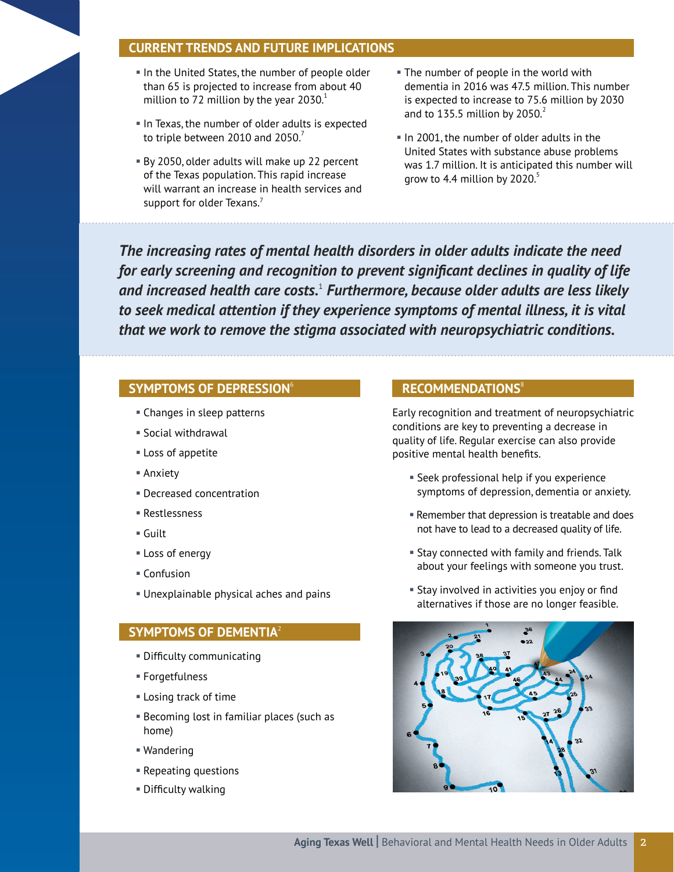## **CURRENT TRENDS AND FUTURE IMPLICATIONS**

- . In the United States, the number of people older than 65 is projected to increase from about 40 million to 72 million by the year  $2030.<sup>1</sup>$
- In Texas, the number of older adults is expected to triple between 2010 and 2050.
- By 2050, older adults will make up 22 percent of the Texas population. This rapid increase will warrant an increase in health services and support for older Texans.<sup>7</sup>
- . The number of people in the world with dementia in 2016 was 47.5 million. This number is expected to increase to 75.6 million by 2030 and to 135.5 million by  $2050.<sup>2</sup>$
- In 2001, the number of older adults in the United States with substance abuse problems was 1.7 million. It is anticipated this number will grow to 4.4 million by 2020.

*The increasing rates of mental health disorders in older adults indicate the need for early screening and recognition to prevent significant declines in quality of life and increased health care costs.*<sup>1</sup>  *Furthermore, because older adults are less likely to seek medical attention if they experience symptoms of mental illness, it is vital that we work to remove the stigma associated with neuropsychiatric conditions.*

### **SYMPTOMS OF DEPRESSION**<sup>6</sup>

- § Changes in sleep patterns
- § Social withdrawal
- Loss of appetite
- Anxiety
- § Decreased concentration
- § Restlessness
- Guilt
- Loss of energy
- Confusion
- § Unexplainable physical aches and pains

## **SYMPTOMS OF DEMENTIA**<sup>2</sup>

- **Difficulty communicating**
- § Forgetfulness
- Losing track of time
- Becoming lost in familiar places (such as § home)
- Wandering
- Repeating questions
- § Difficulty walking

#### **RECOMMENDATIONS**<sup>8</sup>

Early recognition and treatment of neuropsychiatric conditions are key to preventing a decrease in quality of life. Regular exercise can also provide positive mental health benefits.

- Seek professional help if you experience symptoms of depression, dementia or anxiety.
- Remember that depression is treatable and does not have to lead to a decreased quality of life.
- Stay connected with family and friends. Talk about your feelings with someone you trust.
- Stay involved in activities you enjoy or find alternatives if those are no longer feasible.